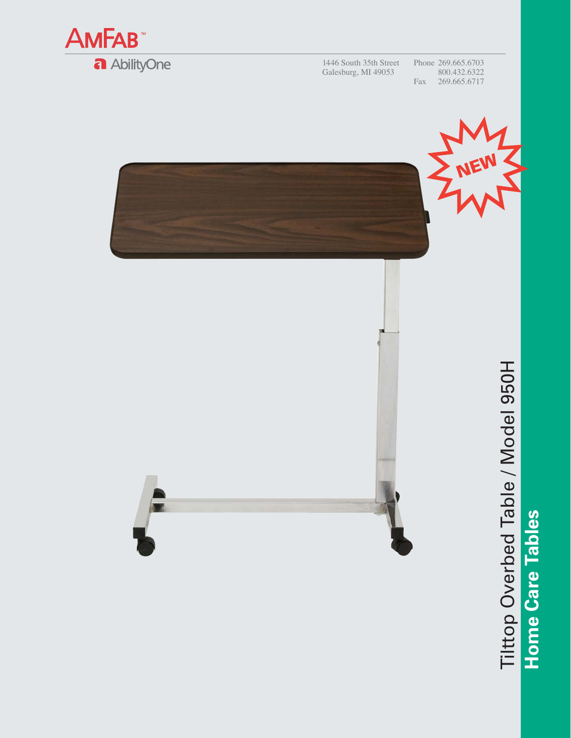

1446 South 35th Street Galesburg, MI 49053

Phone 269.665.6703 800.432.6322 Fax 269.665.6717